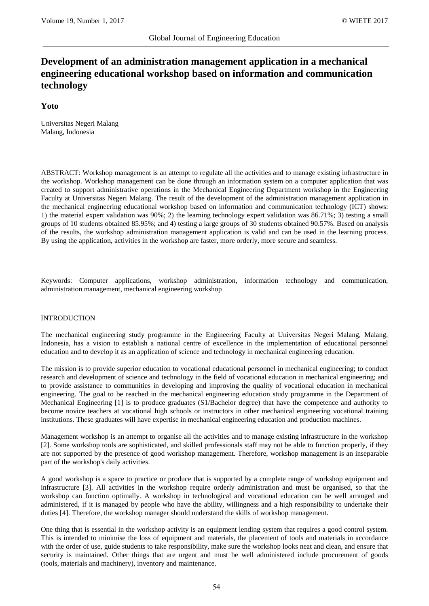# **Development of an administration management application in a mechanical engineering educational workshop based on information and communication technology**

# **Yoto**

Universitas Negeri Malang Malang, Indonesia

ABSTRACT: Workshop management is an attempt to regulate all the activities and to manage existing infrastructure in the workshop. Workshop management can be done through an information system on a computer application that was created to support administrative operations in the Mechanical Engineering Department workshop in the Engineering Faculty at Universitas Negeri Malang. The result of the development of the administration management application in the mechanical engineering educational workshop based on information and communication technology (ICT) shows: 1) the material expert validation was 90%; 2) the learning technology expert validation was 86.71%; 3) testing a small groups of 10 students obtained 85.95%; and 4) testing a large groups of 30 students obtained 90.57%. Based on analysis of the results, the workshop administration management application is valid and can be used in the learning process. By using the application, activities in the workshop are faster, more orderly, more secure and seamless.

Keywords: Computer applications, workshop administration, information technology and communication, administration management, mechanical engineering workshop

# INTRODUCTION

The mechanical engineering study programme in the Engineering Faculty at Universitas Negeri Malang, Malang, Indonesia, has a vision to establish a national centre of excellence in the implementation of educational personnel education and to develop it as an application of science and technology in mechanical engineering education.

The mission is to provide superior education to vocational educational personnel in mechanical engineering; to conduct research and development of science and technology in the field of vocational education in mechanical engineering; and to provide assistance to communities in developing and improving the quality of vocational education in mechanical engineering. The goal to be reached in the mechanical engineering education study programme in the Department of Mechanical Engineering [1] is to produce graduates (S1/Bachelor degree) that have the competence and authority to become novice teachers at vocational high schools or instructors in other mechanical engineering vocational training institutions. These graduates will have expertise in mechanical engineering education and production machines.

Management workshop is an attempt to organise all the activities and to manage existing infrastructure in the workshop [2]. Some workshop tools are sophisticated, and skilled professionals staff may not be able to function properly, if they are not supported by the presence of good workshop management. Therefore, workshop management is an inseparable part of the workshop's daily activities.

A good workshop is a space to practice or produce that is supported by a complete range of workshop equipment and infrastructure [3]. All activities in the workshop require orderly administration and must be organised, so that the workshop can function optimally. A workshop in technological and vocational education can be well arranged and administered, if it is managed by people who have the ability, willingness and a high responsibility to undertake their duties [4]. Therefore, the workshop manager should understand the skills of workshop management.

One thing that is essential in the workshop activity is an equipment lending system that requires a good control system. This is intended to minimise the loss of equipment and materials, the placement of tools and materials in accordance with the order of use, guide students to take responsibility, make sure the workshop looks neat and clean, and ensure that security is maintained. Other things that are urgent and must be well administered include procurement of goods (tools, materials and machinery), inventory and maintenance.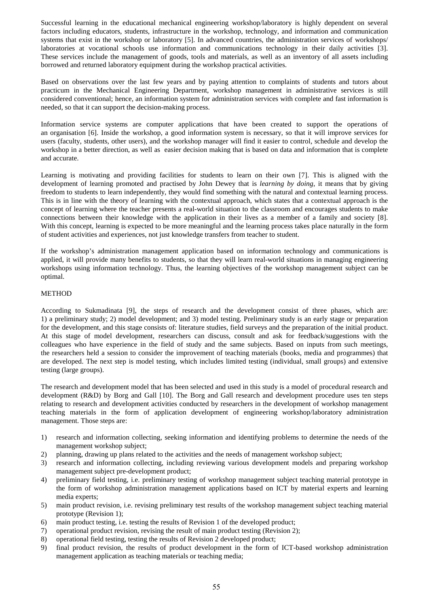Successful learning in the educational mechanical engineering workshop/laboratory is highly dependent on several factors including educators, students, infrastructure in the workshop, technology, and information and communication systems that exist in the workshop or laboratory [5]. In advanced countries, the administration services of workshops/ laboratories at vocational schools use information and communications technology in their daily activities [3]. These services include the management of goods, tools and materials, as well as an inventory of all assets including borrowed and returned laboratory equipment during the workshop practical activities.

Based on observations over the last few years and by paying attention to complaints of students and tutors about practicum in the Mechanical Engineering Department, workshop management in administrative services is still considered conventional; hence, an information system for administration services with complete and fast information is needed, so that it can support the decision-making process.

Information service systems are computer applications that have been created to support the operations of an organisation [6]. Inside the workshop, a good information system is necessary, so that it will improve services for users (faculty, students, other users), and the workshop manager will find it easier to control, schedule and develop the workshop in a better direction, as well as easier decision making that is based on data and information that is complete and accurate.

Learning is motivating and providing facilities for students to learn on their own [7]. This is aligned with the development of learning promoted and practised by John Dewey that is *learning by doing*, it means that by giving freedom to students to learn independently, they would find something with the natural and contextual learning process. This is in line with the theory of learning with the contextual approach, which states that a contextual approach is the concept of learning where the teacher presents a real-world situation to the classroom and encourages students to make connections between their knowledge with the application in their lives as a member of a family and society [8]. With this concept, learning is expected to be more meaningful and the learning process takes place naturally in the form of student activities and experiences, not just knowledge transfers from teacher to student.

If the workshop's administration management application based on information technology and communications is applied, it will provide many benefits to students, so that they will learn real-world situations in managing engineering workshops using information technology. Thus, the learning objectives of the workshop management subject can be optimal.

# METHOD

According to Sukmadinata [9], the steps of research and the development consist of three phases, which are: 1) a preliminary study; 2) model development; and 3) model testing. Preliminary study is an early stage or preparation for the development, and this stage consists of: literature studies, field surveys and the preparation of the initial product. At this stage of model development, researchers can discuss, consult and ask for feedback/suggestions with the colleagues who have experience in the field of study and the same subjects. Based on inputs from such meetings, the researchers held a session to consider the improvement of teaching materials (books, media and programmes) that are developed. The next step is model testing, which includes limited testing (individual, small groups) and extensive testing (large groups).

The research and development model that has been selected and used in this study is a model of procedural research and development (R&D) by Borg and Gall [10]. The Borg and Gall research and development procedure uses ten steps relating to research and development activities conducted by researchers in the development of workshop management teaching materials in the form of application development of engineering workshop/laboratory administration management. Those steps are:

- 1) research and information collecting, seeking information and identifying problems to determine the needs of the management workshop subject;
- 2) planning, drawing up plans related to the activities and the needs of management workshop subject;
- 3) research and information collecting, including reviewing various development models and preparing workshop management subject pre-development product;
- 4) preliminary field testing, i.e. preliminary testing of workshop management subject teaching material prototype in the form of workshop administration management applications based on ICT by material experts and learning media experts;
- 5) main product revision, i.e. revising preliminary test results of the workshop management subject teaching material prototype (Revision 1);
- 6) main product testing, i.e. testing the results of Revision 1 of the developed product;
- 7) operational product revision, revising the result of main product testing (Revision 2);
- 8) operational field testing, testing the results of Revision 2 developed product;
- 9) final product revision, the results of product development in the form of ICT-based workshop administration management application as teaching materials or teaching media;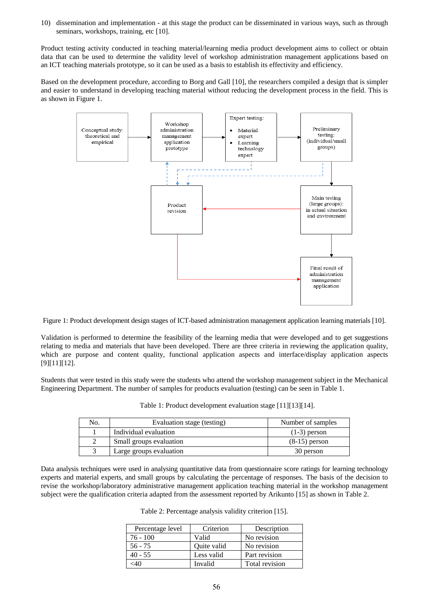10) dissemination and implementation - at this stage the product can be disseminated in various ways, such as through seminars, workshops, training, etc [10].

Product testing activity conducted in teaching material/learning media product development aims to collect or obtain data that can be used to determine the validity level of workshop administration management applications based on an ICT teaching materials prototype, so it can be used as a basis to establish its effectivity and efficiency.

Based on the development procedure, according to Borg and Gall [10], the researchers compiled a design that is simpler and easier to understand in developing teaching material without reducing the development process in the field. This is as shown in Figure 1.



Figure 1: Product development design stages of ICT-based administration management application learning materials [10].

Validation is performed to determine the feasibility of the learning media that were developed and to get suggestions relating to media and materials that have been developed. There are three criteria in reviewing the application quality, which are purpose and content quality, functional application aspects and interface/display application aspects [9][11][12].

Students that were tested in this study were the students who attend the workshop management subject in the Mechanical Engineering Department. The number of samples for products evaluation (testing) can be seen in Table 1.

| No. | Evaluation stage (testing) | Number of samples |
|-----|----------------------------|-------------------|
|     | Individual evaluation      | $(1-3)$ person    |
|     | Small groups evaluation    | $(8-15)$ person   |
|     | Large groups evaluation    | 30 person         |

Table 1: Product development evaluation stage [11][13][14].

Data analysis techniques were used in analysing quantitative data from questionnaire score ratings for learning technology experts and material experts, and small groups by calculating the percentage of responses. The basis of the decision to revise the workshop/laboratory administrative management application teaching material in the workshop management subject were the qualification criteria adapted from the assessment reported by Arikunto [15] as shown in Table 2.

| Table 2: Percentage analysis validity criterion [15]. |  |  |
|-------------------------------------------------------|--|--|
|                                                       |  |  |

| Percentage level | Criterion   | Description    |
|------------------|-------------|----------------|
| 76 - 100         | Valid       | No revision    |
| $56 - 75$        | Ouite valid | No revision    |
| $40 - 55$        | Less valid  | Part revision  |
| :4Ω              | Invalid     | Total revision |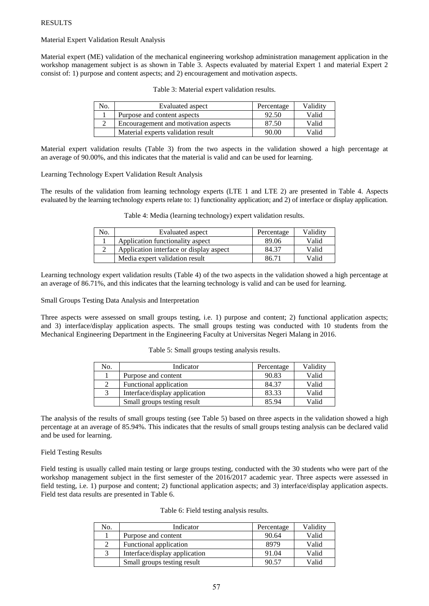Material Expert Validation Result Analysis

Material expert (ME) validation of the mechanical engineering workshop administration management application in the workshop management subject is as shown in Table 3. Aspects evaluated by material Expert 1 and material Expert 2 consist of: 1) purpose and content aspects; and 2) encouragement and motivation aspects.

| No. | Evaluated aspect                     | Percentage | Validitv |
|-----|--------------------------------------|------------|----------|
|     | Purpose and content aspects          | 92.50      | Valid    |
|     | Encouragement and motivation aspects | 87.50      | Valid    |
|     | Material experts validation result   | 90.00      | Valid    |

Table 3: Material expert validation results.

Material expert validation results (Table 3) from the two aspects in the validation showed a high percentage at an average of 90.00%, and this indicates that the material is valid and can be used for learning.

Learning Technology Expert Validation Result Analysis

The results of the validation from learning technology experts (LTE 1 and LTE 2) are presented in Table 4. Aspects evaluated by the learning technology experts relate to: 1) functionality application; and 2) of interface or display application.

| No. | Evaluated aspect                        | Percentage | Validity |
|-----|-----------------------------------------|------------|----------|
|     | Application functionality aspect        | 89.06      | Valid    |
|     | Application interface or display aspect | 84.37      | Valid    |
|     | Media expert validation result          | 86.71      | Valid    |

Table 4: Media (learning technology) expert validation results.

Learning technology expert validation results (Table 4) of the two aspects in the validation showed a high percentage at an average of 86.71%, and this indicates that the learning technology is valid and can be used for learning.

Small Groups Testing Data Analysis and Interpretation

Three aspects were assessed on small groups testing, i.e. 1) purpose and content; 2) functional application aspects; and 3) interface/display application aspects. The small groups testing was conducted with 10 students from the Mechanical Engineering Department in the Engineering Faculty at Universitas Negeri Malang in 2016.

| No. | Indicator                     | Percentage | Validity |
|-----|-------------------------------|------------|----------|
|     | Purpose and content           | 90.83      | Valid    |
|     | Functional application        | 84.37      | Valid    |
| 3   | Interface/display application | 83.33      | Valid    |
|     | Small groups testing result   | 85.94      | Valid    |

Table 5: Small groups testing analysis results.

The analysis of the results of small groups testing (see Table 5) based on three aspects in the validation showed a high percentage at an average of 85.94%. This indicates that the results of small groups testing analysis can be declared valid and be used for learning.

Field Testing Results

Field testing is usually called main testing or large groups testing, conducted with the 30 students who were part of the workshop management subject in the first semester of the 2016/2017 academic year. Three aspects were assessed in field testing, i.e. 1) purpose and content; 2) functional application aspects; and 3) interface/display application aspects. Field test data results are presented in Table 6.

| Table 6: Field testing analysis results. |  |
|------------------------------------------|--|
|------------------------------------------|--|

| No. | Indicator                     | Percentage | Validity |
|-----|-------------------------------|------------|----------|
|     | Purpose and content           | 90.64      | Valid    |
|     | Functional application        | 8979       | Valid    |
|     | Interface/display application | 91.04      | Valid    |
|     | Small groups testing result   | 90.57      | Valid    |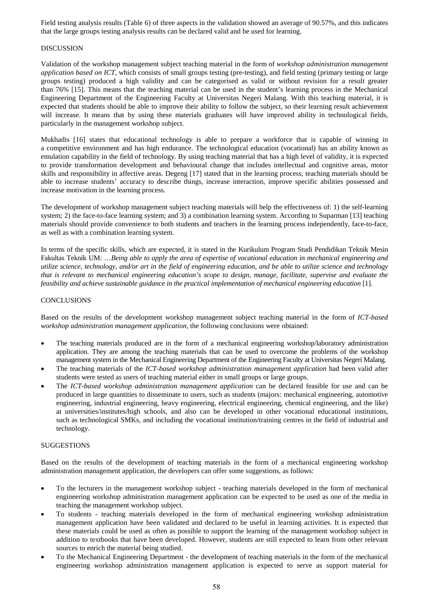Field testing analysis results (Table 6) of three aspects in the validation showed an average of 90.57%, and this indicates that the large groups testing analysis results can be declared valid and be used for learning.

#### DISCUSSION

Validation of the workshop management subject teaching material in the form of *workshop administration management application based on ICT*, which consists of small groups testing (pre-testing), and field testing (primary testing or large groups testing) produced a high validity and can be categorised as valid or without revision for a result greater than 76% [15]. This means that the teaching material can be used in the student's learning process in the Mechanical Engineering Department of the Engineering Faculty at Universitas Negeri Malang. With this teaching material, it is expected that students should be able to improve their ability to follow the subject, so their learning result achievement will increase. It means that by using these materials graduates will have improved ability in technological fields, particularly in the management workshop subject.

Mukhadis [16] states that educational technology is able to prepare a workforce that is capable of winning in a competitive environment and has high endurance. The technological education (vocational) has an ability known as emulation capability in the field of technology. By using teaching material that has a high level of validity, it is expected to provide transformation development and behavioural change that includes intellectual and cognitive areas, motor skills and responsibility in affective areas. Degeng [17] stated that in the learning process, teaching materials should be able to increase students' accuracy to describe things, increase interaction, improve specific abilities possessed and increase motivation in the learning process.

The development of workshop management subject teaching materials will help the effectiveness of: 1) the self-learning system; 2) the face-to-face learning system; and 3) a combination learning system. According to Suparman [13] teaching materials should provide convenience to both students and teachers in the learning process independently, face-to-face, as well as with a combination learning system.

In terms of the specific skills, which are expected, it is stated in the Kurikulum Program Studi Pendidikan Teknik Mesin Fakultas Teknik UM: …*Being able to apply the area of expertise of vocational education in mechanical engineering and utilize science, technology, and/or art in the field of engineering education, and be able to utilize science and technology that is relevant to mechanical engineering education's scope to design, manage, facilitate, supervise and evaluate the feasibility and achieve sustainable guidance in the practical implementation of mechanical engineering education* [1].

#### **CONCLUSIONS**

Based on the results of the development workshop management subject teaching material in the form of *ICT-based workshop administration management application*, the following conclusions were obtained:

- The teaching materials produced are in the form of a mechanical engineering workshop/laboratory administration application. They are among the teaching materials that can be used to overcome the problems of the workshop management system in the Mechanical Engineering Department of the Engineering Faculty at Universitas Negeri Malang.
- The teaching materials of the *ICT-based workshop administration management application* had been valid after students were tested as users of teaching material either in small groups or large groups.
- The *ICT-based workshop administration management application* can be declared feasible for use and can be produced in large quantities to disseminate to users, such as students (majors: mechanical engineering, automotive engineering, industrial engineering, heavy engineering, electrical engineering, chemical engineering, and the like) at universities/institutes/high schools, and also can be developed in other vocational educational institutions, such as technological SMKs, and including the vocational institution/training centres in the field of industrial and technology.

# **SUGGESTIONS**

Based on the results of the development of teaching materials in the form of a mechanical engineering workshop administration management application, the developers can offer some suggestions, as follows:

- To the lecturers in the management workshop subject teaching materials developed in the form of mechanical engineering workshop administration management application can be expected to be used as one of the media in teaching the management workshop subject.
- To students teaching materials developed in the form of mechanical engineering workshop administration management application have been validated and declared to be useful in learning activities. It is expected that these materials could be used as often as possible to support the learning of the management workshop subject in addition to textbooks that have been developed. However, students are still expected to learn from other relevant sources to enrich the material being studied.
- To the Mechanical Engineering Department the development of teaching materials in the form of the mechanical engineering workshop administration management application is expected to serve as support material for